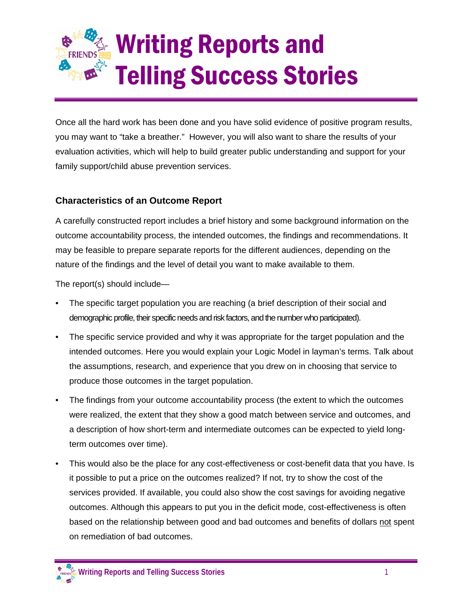## Writing Reports and Telling Success Stories

Once all the hard work has been done and you have solid evidence of positive program results, you may want to "take a breather." However, you will also want to share the results of your evaluation activities, which will help to build greater public understanding and support for your family support/child abuse prevention services.

## **Characteristics of an Outcome Report**

A carefully constructed report includes a brief history and some background information on the outcome accountability process, the intended outcomes, the findings and recommendations. It may be feasible to prepare separate reports for the different audiences, depending on the nature of the findings and the level of detail you want to make available to them.

The report(s) should include—

- The specific target population you are reaching (a brief description of their social and demographic profile, their specific needs and risk factors, and the number who participated).
- The specific service provided and why it was appropriate for the target population and the intended outcomes. Here you would explain your Logic Model in layman's terms. Talk about the assumptions, research, and experience that you drew on in choosing that service to produce those outcomes in the target population.
- The findings from your outcome accountability process (the extent to which the outcomes were realized, the extent that they show a good match between service and outcomes, and a description of how short-term and intermediate outcomes can be expected to yield longterm outcomes over time).
- This would also be the place for any cost-effectiveness or cost-benefit data that you have. Is it possible to put a price on the outcomes realized? If not, try to show the cost of the services provided. If available, you could also show the cost savings for avoiding negative outcomes. Although this appears to put you in the deficit mode, cost-effectiveness is often based on the relationship between good and bad outcomes and benefits of dollars not spent on remediation of bad outcomes.